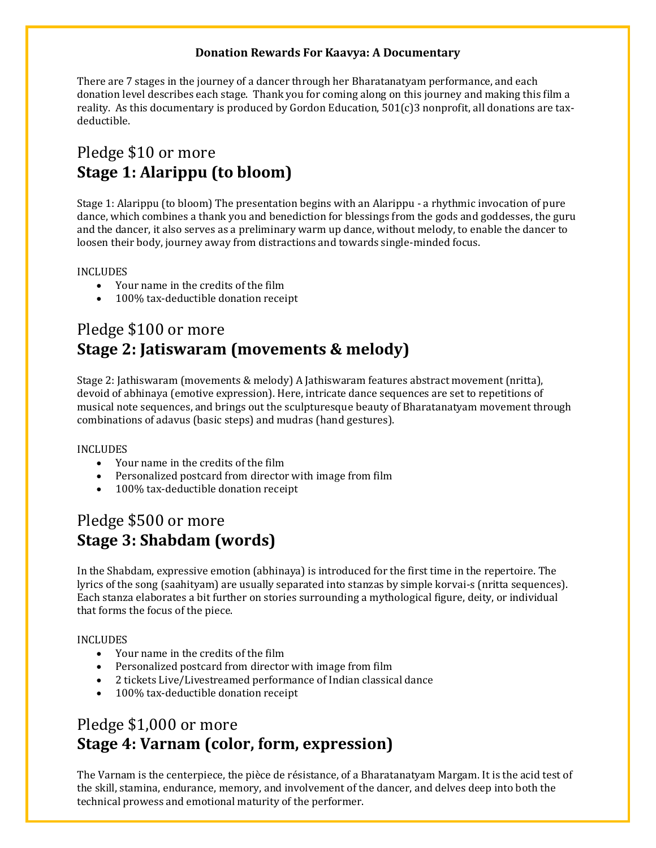## **Donation Rewards For Kaavya: A Documentary**

There are 7 stages in the journey of a dancer through her Bharatanatyam performance, and each donation level describes each stage. Thank you for coming along on this journey and making this film a reality. As this documentary is produced by Gordon Education,  $501(c)3$  nonprofit, all donations are taxdeductible.

# Pledge \$10 or more **Stage 1: Alarippu (to bloom)**

Stage 1: Alarippu (to bloom) The presentation begins with an Alarippu - a rhythmic invocation of pure dance, which combines a thank you and benediction for blessings from the gods and goddesses, the guru and the dancer, it also serves as a preliminary warm up dance, without melody, to enable the dancer to loosen their body, journey away from distractions and towards single-minded focus.

### INCLUDES

- Your name in the credits of the film
- 100% tax-deductible donation receipt

# Pledge \$100 or more **Stage 2: Jatiswaram (movements & melody)**

Stage 2: Jathiswaram (movements & melody) A Jathiswaram features abstract movement (nritta), devoid of abhinaya (emotive expression). Here, intricate dance sequences are set to repetitions of musical note sequences, and brings out the sculpturesque beauty of Bharatanatyam movement through combinations of adavus (basic steps) and mudras (hand gestures).

### INCLUDES

- Your name in the credits of the film
- Personalized postcard from director with image from film
- 100% tax-deductible donation receipt

## Pledge \$500 or more **Stage 3: Shabdam (words)**

In the Shabdam, expressive emotion (abhinaya) is introduced for the first time in the repertoire. The lyrics of the song (saahityam) are usually separated into stanzas by simple korvai-s (nritta sequences). Each stanza elaborates a bit further on stories surrounding a mythological figure, deity, or individual that forms the focus of the piece.

### INCLUDES

- Your name in the credits of the film
- Personalized postcard from director with image from film
- 2 tickets Live/Livestreamed performance of Indian classical dance
- 100% tax-deductible donation receipt

# Pledge \$1,000 or more **Stage 4: Varnam (color, form, expression)**

The Varnam is the centerpiece, the pièce de résistance, of a Bharatanatyam Margam. It is the acid test of the skill, stamina, endurance, memory, and involvement of the dancer, and delves deep into both the technical prowess and emotional maturity of the performer.